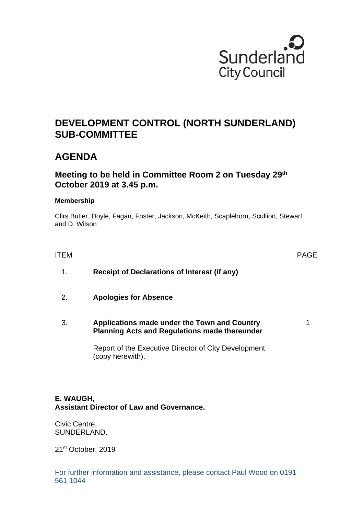

# **DEVELOPMENT CONTROL (NORTH SUNDERLAND) SUB-COMMITTEE**

# **AGENDA**

# **Meeting to be held in Committee Room 2 on Tuesday 29th October 2019 at 3.45 p.m.**

#### **Membership**

Cllrs Butler, Doyle, Fagan, Foster, Jackson, McKeith, Scaplehorn, Scullion, Stewart and D. Wilson

ITEM PAGE

1

- 1. **Receipt of Declarations of Interest (if any)**
- 2. **Apologies for Absence**
- 3. **Applications made under the Town and Country Planning Acts and Regulations made thereunder**

Report of the Executive Director of City Development (copy herewith).

# **E. WAUGH, Assistant Director of Law and Governance.**

Civic Centre, SUNDERLAND.

21st October, 2019

For further information and assistance, please contact Paul Wood on 0191 561 1044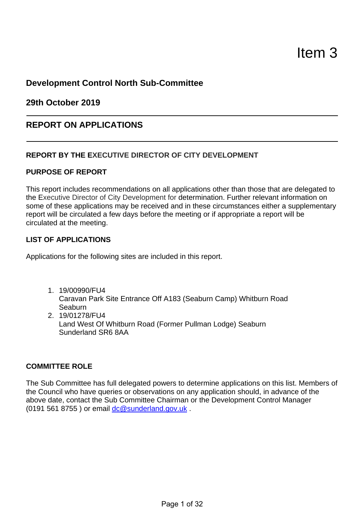# **Development Control North Sub-Committee**

**29th October 2019** 

# **REPORT ON APPLICATIONS**

## **REPORT BY THE EXECUTIVE DIRECTOR OF CITY DEVELOPMENT**

#### **PURPOSE OF REPORT**

This report includes recommendations on all applications other than those that are delegated to the Executive Director of City Development for determination. Further relevant information on some of these applications may be received and in these circumstances either a supplementary report will be circulated a few days before the meeting or if appropriate a report will be circulated at the meeting.

#### **LIST OF APPLICATIONS**

Applications for the following sites are included in this report.

- 1. 19/00990/FU4 Caravan Park Site Entrance Off A183 (Seaburn Camp) Whitburn Road Seaburn
- 2. 19/01278/FU4 Land West Of Whitburn Road (Former Pullman Lodge) Seaburn Sunderland SR6 8AA

#### **COMMITTEE ROLE**

The Sub Committee has full delegated powers to determine applications on this list. Members of the Council who have queries or observations on any application should, in advance of the above date, contact the Sub Committee Chairman or the Development Control Manager (0191 561 8755 ) or email dc@sunderland.gov.uk .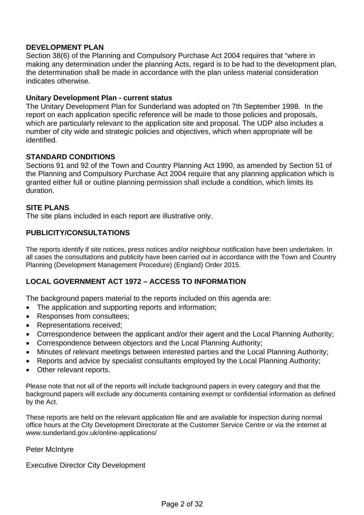## **DEVELOPMENT PLAN**

Section 38(6) of the Planning and Compulsory Purchase Act 2004 requires that "where in making any determination under the planning Acts, regard is to be had to the development plan, the determination shall be made in accordance with the plan unless material consideration indicates otherwise*.* 

#### **Unitary Development Plan - current status**

The Unitary Development Plan for Sunderland was adopted on 7th September 1998. In the report on each application specific reference will be made to those policies and proposals, which are particularly relevant to the application site and proposal. The UDP also includes a number of city wide and strategic policies and objectives, which when appropriate will be identified*.* 

#### **STANDARD CONDITIONS**

Sections 91 and 92 of the Town and Country Planning Act 1990, as amended by Section 51 of the Planning and Compulsory Purchase Act 2004 require that any planning application which is granted either full or outline planning permission shall include a condition, which limits its duration.

#### **SITE PLANS**

The site plans included in each report are illustrative only.

#### **PUBLICITY/CONSULTATIONS**

The reports identify if site notices, press notices and/or neighbour notification have been undertaken. In all cases the consultations and publicity have been carried out in accordance with the Town and Country Planning (Development Management Procedure) (England) Order 2015.

#### **LOCAL GOVERNMENT ACT 1972 – ACCESS TO INFORMATION**

The background papers material to the reports included on this agenda are:

- The application and supporting reports and information;
- Responses from consultees;
- Representations received:
- Correspondence between the applicant and/or their agent and the Local Planning Authority;
- Correspondence between objectors and the Local Planning Authority;
- Minutes of relevant meetings between interested parties and the Local Planning Authority;
- Reports and advice by specialist consultants emploved by the Local Planning Authority:
- Other relevant reports.

Please note that not all of the reports will include background papers in every category and that the background papers will exclude any documents containing exempt or confidential information as defined by the Act.

These reports are held on the relevant application file and are available for inspection during normal office hours at the City Development Directorate at the Customer Service Centre or via the internet at www.sunderland.gov.uk/online-applications/

Peter McIntyre

Executive Director City Development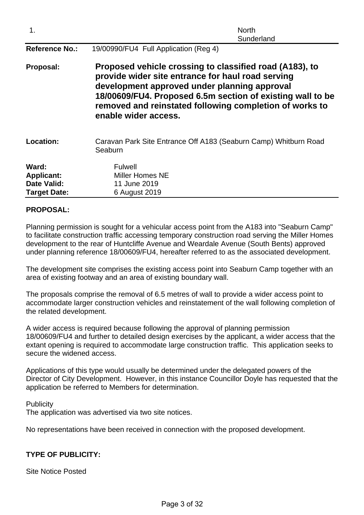| 1.                                                                      | <b>North</b><br>Sunderland                                                                                                                                                                                                                                                                                    |  |  |  |
|-------------------------------------------------------------------------|---------------------------------------------------------------------------------------------------------------------------------------------------------------------------------------------------------------------------------------------------------------------------------------------------------------|--|--|--|
| <b>Reference No.:</b>                                                   | 19/00990/FU4 Full Application (Reg 4)                                                                                                                                                                                                                                                                         |  |  |  |
| Proposal:                                                               | Proposed vehicle crossing to classified road (A183), to<br>provide wider site entrance for haul road serving<br>development approved under planning approval<br>18/00609/FU4. Proposed 6.5m section of existing wall to be<br>removed and reinstated following completion of works to<br>enable wider access. |  |  |  |
| Location:                                                               | Caravan Park Site Entrance Off A183 (Seaburn Camp) Whitburn Road<br>Seaburn                                                                                                                                                                                                                                   |  |  |  |
| Ward:<br><b>Applicant:</b><br><b>Date Valid:</b><br><b>Target Date:</b> | <b>Fulwell</b><br>Miller Homes NE<br>11 June 2019<br>6 August 2019                                                                                                                                                                                                                                            |  |  |  |

## **PROPOSAL:**

Planning permission is sought for a vehicular access point from the A183 into "Seaburn Camp" to facilitate construction traffic accessing temporary construction road serving the Miller Homes development to the rear of Huntcliffe Avenue and Weardale Avenue (South Bents) approved under planning reference 18/00609/FU4, hereafter referred to as the associated development.

The development site comprises the existing access point into Seaburn Camp together with an area of existing footway and an area of existing boundary wall.

The proposals comprise the removal of 6.5 metres of wall to provide a wider access point to accommodate larger construction vehicles and reinstatement of the wall following completion of the related development.

A wider access is required because following the approval of planning permission 18/00609/FU4 and further to detailed design exercises by the applicant, a wider access that the extant opening is required to accommodate large construction traffic. This application seeks to secure the widened access.

Applications of this type would usually be determined under the delegated powers of the Director of City Development. However, in this instance Councillor Doyle has requested that the application be referred to Members for determination.

Page 3 of 32

**Publicity** The application was advertised via two site notices.

No representations have been received in connection with the proposed development.

# **TYPE OF PUBLICITY:**

Site Notice Posted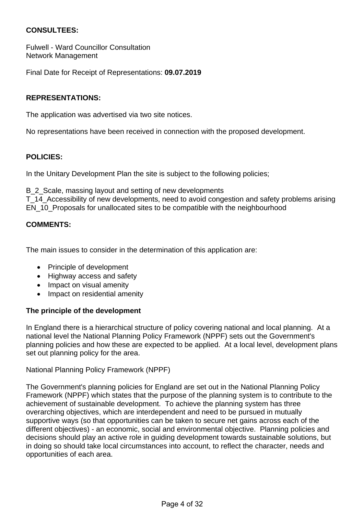## **CONSULTEES:**

Fulwell - Ward Councillor Consultation Network Management

Final Date for Receipt of Representations: **09.07.2019**

## **REPRESENTATIONS:**

The application was advertised via two site notices.

No representations have been received in connection with the proposed development.

#### **POLICIES:**

In the Unitary Development Plan the site is subject to the following policies;

B 2 Scale, massing layout and setting of new developments

T\_14\_Accessibility of new developments, need to avoid congestion and safety problems arising EN\_10\_Proposals for unallocated sites to be compatible with the neighbourhood

#### **COMMENTS:**

The main issues to consider in the determination of this application are:

- Principle of development
- Highway access and safety
- Impact on visual amenity
- Impact on residential amenity

#### **The principle of the development**

In England there is a hierarchical structure of policy covering national and local planning. At a national level the National Planning Policy Framework (NPPF) sets out the Government's planning policies and how these are expected to be applied. At a local level, development plans set out planning policy for the area.

National Planning Policy Framework (NPPF)

The Government's planning policies for England are set out in the National Planning Policy Framework (NPPF) which states that the purpose of the planning system is to contribute to the achievement of sustainable development. To achieve the planning system has three overarching objectives, which are interdependent and need to be pursued in mutually supportive ways (so that opportunities can be taken to secure net gains across each of the different objectives) - an economic, social and environmental objective. Planning policies and decisions should play an active role in guiding development towards sustainable solutions, but in doing so should take local circumstances into account, to reflect the character, needs and opportunities of each area.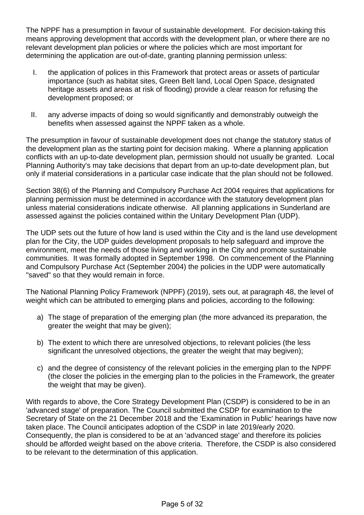The NPPF has a presumption in favour of sustainable development. For decision-taking this means approving development that accords with the development plan, or where there are no relevant development plan policies or where the policies which are most important for determining the application are out-of-date, granting planning permission unless:

- I. the application of polices in this Framework that protect areas or assets of particular importance (such as habitat sites, Green Belt land, Local Open Space, designated heritage assets and areas at risk of flooding) provide a clear reason for refusing the development proposed; or
- II. any adverse impacts of doing so would significantly and demonstrably outweigh the benefits when assessed against the NPPF taken as a whole.

The presumption in favour of sustainable development does not change the statutory status of the development plan as the starting point for decision making. Where a planning application conflicts with an up-to-date development plan, permission should not usually be granted. Local Planning Authority's may take decisions that depart from an up-to-date development plan, but only if material considerations in a particular case indicate that the plan should not be followed.

Section 38(6) of the Planning and Compulsory Purchase Act 2004 requires that applications for planning permission must be determined in accordance with the statutory development plan unless material considerations indicate otherwise. All planning applications in Sunderland are assessed against the policies contained within the Unitary Development Plan (UDP).

The UDP sets out the future of how land is used within the City and is the land use development plan for the City, the UDP guides development proposals to help safeguard and improve the environment, meet the needs of those living and working in the City and promote sustainable communities. It was formally adopted in September 1998. On commencement of the Planning and Compulsory Purchase Act (September 2004) the policies in the UDP were automatically "saved" so that they would remain in force.

The National Planning Policy Framework (NPPF) (2019), sets out, at paragraph 48, the level of weight which can be attributed to emerging plans and policies, according to the following:

- a) The stage of preparation of the emerging plan (the more advanced its preparation, the greater the weight that may be given);
- b) The extent to which there are unresolved objections, to relevant policies (the less significant the unresolved objections, the greater the weight that may begiven);
- c) and the degree of consistency of the relevant policies in the emerging plan to the NPPF (the closer the policies in the emerging plan to the policies in the Framework, the greater the weight that may be given).

With regards to above, the Core Strategy Development Plan (CSDP) is considered to be in an 'advanced stage' of preparation. The Council submitted the CSDP for examination to the Secretary of State on the 21 December 2018 and the 'Examination in Public' hearings have now taken place. The Council anticipates adoption of the CSDP in late 2019/early 2020. Consequently, the plan is considered to be at an 'advanced stage' and therefore its policies should be afforded weight based on the above criteria. Therefore, the CSDP is also considered to be relevant to the determination of this application.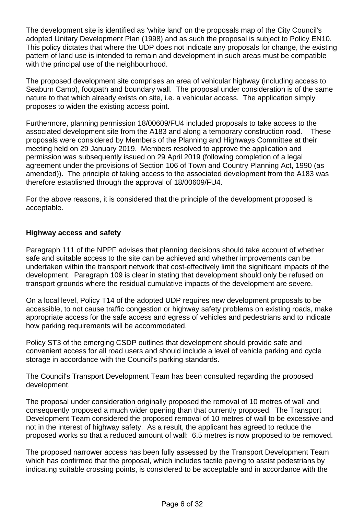The development site is identified as 'white land' on the proposals map of the City Council's adopted Unitary Development Plan (1998) and as such the proposal is subject to Policy EN10. This policy dictates that where the UDP does not indicate any proposals for change, the existing pattern of land use is intended to remain and development in such areas must be compatible with the principal use of the neighbourhood.

The proposed development site comprises an area of vehicular highway (including access to Seaburn Camp), footpath and boundary wall. The proposal under consideration is of the same nature to that which already exists on site, i.e. a vehicular access. The application simply proposes to widen the existing access point.

Furthermore, planning permission 18/00609/FU4 included proposals to take access to the associated development site from the A183 and along a temporary construction road. These proposals were considered by Members of the Planning and Highways Committee at their meeting held on 29 January 2019. Members resolved to approve the application and permission was subsequently issued on 29 April 2019 (following completion of a legal agreement under the provisions of Section 106 of Town and Country Planning Act, 1990 (as amended)). The principle of taking access to the associated development from the A183 was therefore established through the approval of 18/00609/FU4.

For the above reasons, it is considered that the principle of the development proposed is acceptable.

## **Highway access and safety**

Paragraph 111 of the NPPF advises that planning decisions should take account of whether safe and suitable access to the site can be achieved and whether improvements can be undertaken within the transport network that cost-effectively limit the significant impacts of the development. Paragraph 109 is clear in stating that development should only be refused on transport grounds where the residual cumulative impacts of the development are severe.

On a local level, Policy T14 of the adopted UDP requires new development proposals to be accessible, to not cause traffic congestion or highway safety problems on existing roads, make appropriate access for the safe access and egress of vehicles and pedestrians and to indicate how parking requirements will be accommodated.

Policy ST3 of the emerging CSDP outlines that development should provide safe and convenient access for all road users and should include a level of vehicle parking and cycle storage in accordance with the Council's parking standards.

The Council's Transport Development Team has been consulted regarding the proposed development.

The proposal under consideration originally proposed the removal of 10 metres of wall and consequently proposed a much wider opening than that currently proposed. The Transport Development Team considered the proposed removal of 10 metres of wall to be excessive and not in the interest of highway safety. As a result, the applicant has agreed to reduce the proposed works so that a reduced amount of wall: 6.5 metres is now proposed to be removed.

The proposed narrower access has been fully assessed by the Transport Development Team which has confirmed that the proposal, which includes tactile paving to assist pedestrians by indicating suitable crossing points, is considered to be acceptable and in accordance with the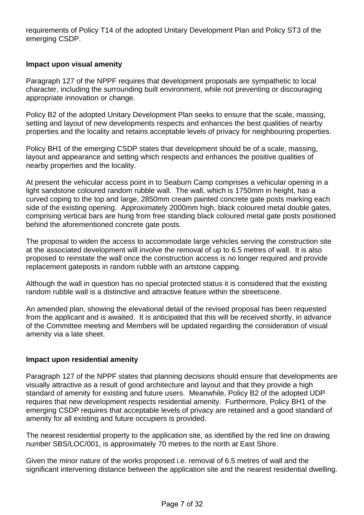requirements of Policy T14 of the adopted Unitary Development Plan and Policy ST3 of the emerging CSDP.

## **Impact upon visual amenity**

Paragraph 127 of the NPPF requires that development proposals are sympathetic to local character, including the surrounding built environment, while not preventing or discouraging appropriate innovation or change.

Policy B2 of the adopted Unitary Development Plan seeks to ensure that the scale, massing, setting and layout of new developments respects and enhances the best qualities of nearby properties and the locality and retains acceptable levels of privacy for neighbouring properties.

Policy BH1 of the emerging CSDP states that development should be of a scale, massing, layout and appearance and setting which respects and enhances the positive qualities of nearby properties and the locality.

At present the vehicular access point in to Seaburn Camp comprises a vehicular opening in a light sandstone coloured random rubble wall. The wall, which is 1750mm in height, has a curved coping to the top and large, 2850mm cream painted concrete gate posts marking each side of the existing opening. Approximately 2000mm high, black coloured metal double gates, comprising vertical bars are hung from free standing black coloured metal gate posts positioned behind the aforementioned concrete gate posts.

The proposal to widen the access to accommodate large vehicles serving the construction site at the associated development will involve the removal of up to 6.5 metres of wall. It is also proposed to reinstate the wall once the construction access is no longer required and provide replacement gateposts in random rubble with an artstone capping.

Although the wall in question has no special protected status it is considered that the existing random rubble wall is a distinctive and attractive feature within the streetscene.

An amended plan, showing the elevational detail of the revised proposal has been requested from the applicant and is awaited. It is anticipated that this will be received shortly, in advance of the Committee meeting and Members will be updated regarding the consideration of visual amenity via a late sheet.

#### **Impact upon residential amenity**

Paragraph 127 of the NPPF states that planning decisions should ensure that developments are visually attractive as a result of good architecture and layout and that they provide a high standard of amenity for existing and future users. Meanwhile, Policy B2 of the adopted UDP requires that new development respects residential amenity. Furthermore, Policy BH1 of the emerging CSDP requires that acceptable levels of privacy are retained and a good standard of amenity for all existing and future occupiers is provided.

The nearest residential property to the application site, as identified by the red line on drawing number SBS/LOC/001, is approximately 70 metres to the north at East Shore.

Given the minor nature of the works proposed i.e. removal of 6.5 metres of wall and the significant intervening distance between the application site and the nearest residential dwelling.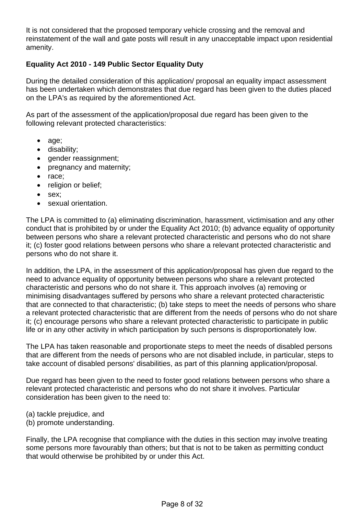It is not considered that the proposed temporary vehicle crossing and the removal and reinstatement of the wall and gate posts will result in any unacceptable impact upon residential amenity.

# **Equality Act 2010 - 149 Public Sector Equality Duty**

During the detailed consideration of this application/ proposal an equality impact assessment has been undertaken which demonstrates that due regard has been given to the duties placed on the LPA's as required by the aforementioned Act.

As part of the assessment of the application/proposal due regard has been given to the following relevant protected characteristics:

- age;
- disability;
- gender reassignment;
- pregnancy and maternity;
- race;
- religion or belief:
- sex:
- sexual orientation.

The LPA is committed to (a) eliminating discrimination, harassment, victimisation and any other conduct that is prohibited by or under the Equality Act 2010; (b) advance equality of opportunity between persons who share a relevant protected characteristic and persons who do not share it; (c) foster good relations between persons who share a relevant protected characteristic and persons who do not share it.

In addition, the LPA, in the assessment of this application/proposal has given due regard to the need to advance equality of opportunity between persons who share a relevant protected characteristic and persons who do not share it. This approach involves (a) removing or minimising disadvantages suffered by persons who share a relevant protected characteristic that are connected to that characteristic; (b) take steps to meet the needs of persons who share a relevant protected characteristic that are different from the needs of persons who do not share it; (c) encourage persons who share a relevant protected characteristic to participate in public life or in any other activity in which participation by such persons is disproportionately low.

The LPA has taken reasonable and proportionate steps to meet the needs of disabled persons that are different from the needs of persons who are not disabled include, in particular, steps to take account of disabled persons' disabilities, as part of this planning application/proposal.

Due regard has been given to the need to foster good relations between persons who share a relevant protected characteristic and persons who do not share it involves. Particular consideration has been given to the need to:

- (a) tackle prejudice, and
- (b) promote understanding.

Finally, the LPA recognise that compliance with the duties in this section may involve treating some persons more favourably than others; but that is not to be taken as permitting conduct that would otherwise be prohibited by or under this Act.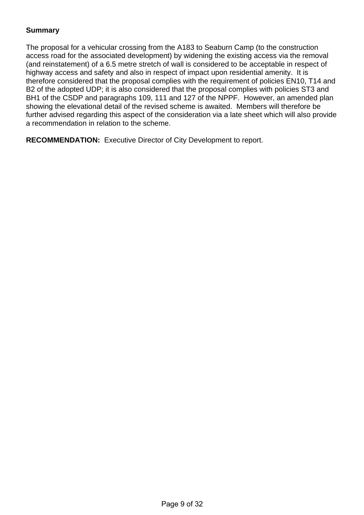# **Summary**

The proposal for a vehicular crossing from the A183 to Seaburn Camp (to the construction access road for the associated development) by widening the existing access via the removal (and reinstatement) of a 6.5 metre stretch of wall is considered to be acceptable in respect of highway access and safety and also in respect of impact upon residential amenity. It is therefore considered that the proposal complies with the requirement of policies EN10, T14 and B2 of the adopted UDP; it is also considered that the proposal complies with policies ST3 and BH1 of the CSDP and paragraphs 109, 111 and 127 of the NPPF. However, an amended plan showing the elevational detail of the revised scheme is awaited. Members will therefore be further advised regarding this aspect of the consideration via a late sheet which will also provide a recommendation in relation to the scheme.

**RECOMMENDATION:** Executive Director of City Development to report.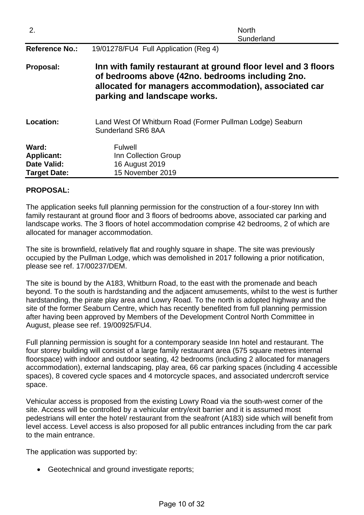| 2.                                                                      | <b>North</b><br>Sunderland                                                                                                                                                                                 |
|-------------------------------------------------------------------------|------------------------------------------------------------------------------------------------------------------------------------------------------------------------------------------------------------|
| <b>Reference No.:</b>                                                   | 19/01278/FU4 Full Application (Reg 4)                                                                                                                                                                      |
| Proposal:                                                               | Inn with family restaurant at ground floor level and 3 floors<br>of bedrooms above (42no. bedrooms including 2no.<br>allocated for managers accommodation), associated car<br>parking and landscape works. |
| Location:                                                               | Land West Of Whitburn Road (Former Pullman Lodge) Seaburn<br>Sunderland SR6 8AA                                                                                                                            |
| Ward:<br><b>Applicant:</b><br><b>Date Valid:</b><br><b>Target Date:</b> | <b>Fulwell</b><br>Inn Collection Group<br>16 August 2019<br>15 November 2019                                                                                                                               |

## **PROPOSAL:**

The application seeks full planning permission for the construction of a four-storey Inn with family restaurant at ground floor and 3 floors of bedrooms above, associated car parking and landscape works. The 3 floors of hotel accommodation comprise 42 bedrooms, 2 of which are allocated for manager accommodation.

The site is brownfield, relatively flat and roughly square in shape. The site was previously occupied by the Pullman Lodge, which was demolished in 2017 following a prior notification, please see ref. 17/00237/DEM.

The site is bound by the A183, Whitburn Road, to the east with the promenade and beach beyond. To the south is hardstanding and the adjacent amusements, whilst to the west is further hardstanding, the pirate play area and Lowry Road. To the north is adopted highway and the site of the former Seaburn Centre, which has recently benefited from full planning permission after having been approved by Members of the Development Control North Committee in August, please see ref. 19/00925/FU4.

Full planning permission is sought for a contemporary seaside Inn hotel and restaurant. The four storey building will consist of a large family restaurant area (575 square metres internal floorspace) with indoor and outdoor seating, 42 bedrooms (including 2 allocated for managers accommodation), external landscaping, play area, 66 car parking spaces (including 4 accessible spaces), 8 covered cycle spaces and 4 motorcycle spaces, and associated undercroft service space.

Vehicular access is proposed from the existing Lowry Road via the south-west corner of the site. Access will be controlled by a vehicular entry/exit barrier and it is assumed most pedestrians will enter the hotel/ restaurant from the seafront (A183) side which will benefit from level access. Level access is also proposed for all public entrances including from the car park to the main entrance.

Page 10 of 32

The application was supported by:

• Geotechnical and ground investigate reports;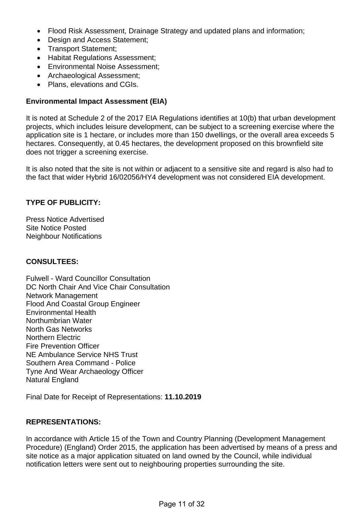- Flood Risk Assessment, Drainage Strategy and updated plans and information;
- Design and Access Statement:
- Transport Statement;
- Habitat Regulations Assessment;
- Environmental Noise Assessment:
- Archaeological Assessment;
- Plans, elevations and CGIs.

## **Environmental Impact Assessment (EIA)**

It is noted at Schedule 2 of the 2017 EIA Regulations identifies at 10(b) that urban development projects, which includes leisure development, can be subject to a screening exercise where the application site is 1 hectare, or includes more than 150 dwellings, or the overall area exceeds 5 hectares. Consequently, at 0.45 hectares, the development proposed on this brownfield site does not trigger a screening exercise.

It is also noted that the site is not within or adjacent to a sensitive site and regard is also had to the fact that wider Hybrid 16/02056/HY4 development was not considered EIA development.

# **TYPE OF PUBLICITY:**

Press Notice Advertised Site Notice Posted Neighbour Notifications

#### **CONSULTEES:**

Fulwell - Ward Councillor Consultation DC North Chair And Vice Chair Consultation Network Management Flood And Coastal Group Engineer Environmental Health Northumbrian Water North Gas Networks Northern Electric Fire Prevention Officer NE Ambulance Service NHS Trust Southern Area Command - Police Tyne And Wear Archaeology Officer Natural England

Final Date for Receipt of Representations: **11.10.2019**

# **REPRESENTATIONS:**

In accordance with Article 15 of the Town and Country Planning (Development Management Procedure) (England) Order 2015, the application has been advertised by means of a press and site notice as a major application situated on land owned by the Council, while individual notification letters were sent out to neighbouring properties surrounding the site.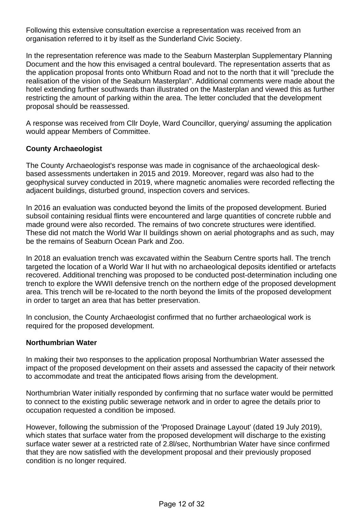Following this extensive consultation exercise a representation was received from an organisation referred to it by itself as the Sunderland Civic Society.

In the representation reference was made to the Seaburn Masterplan Supplementary Planning Document and the how this envisaged a central boulevard. The representation asserts that as the application proposal fronts onto Whitburn Road and not to the north that it will "preclude the realisation of the vision of the Seaburn Masterplan". Additional comments were made about the hotel extending further southwards than illustrated on the Masterplan and viewed this as further restricting the amount of parking within the area. The letter concluded that the development proposal should be reassessed.

A response was received from Cllr Doyle, Ward Councillor, querying/ assuming the application would appear Members of Committee.

## **County Archaeologist**

The County Archaeologist's response was made in cognisance of the archaeological deskbased assessments undertaken in 2015 and 2019. Moreover, regard was also had to the geophysical survey conducted in 2019, where magnetic anomalies were recorded reflecting the adjacent buildings, disturbed ground, inspection covers and services.

In 2016 an evaluation was conducted beyond the limits of the proposed development. Buried subsoil containing residual flints were encountered and large quantities of concrete rubble and made ground were also recorded. The remains of two concrete structures were identified. These did not match the World War II buildings shown on aerial photographs and as such, may be the remains of Seaburn Ocean Park and Zoo.

In 2018 an evaluation trench was excavated within the Seaburn Centre sports hall. The trench targeted the location of a World War II hut with no archaeological deposits identified or artefacts recovered. Additional trenching was proposed to be conducted post-determination including one trench to explore the WWII defensive trench on the northern edge of the proposed development area. This trench will be re-located to the north beyond the limits of the proposed development in order to target an area that has better preservation.

In conclusion, the County Archaeologist confirmed that no further archaeological work is required for the proposed development.

#### **Northumbrian Water**

In making their two responses to the application proposal Northumbrian Water assessed the impact of the proposed development on their assets and assessed the capacity of their network to accommodate and treat the anticipated flows arising from the development.

Northumbrian Water initially responded by confirming that no surface water would be permitted to connect to the existing public sewerage network and in order to agree the details prior to occupation requested a condition be imposed.

However, following the submission of the 'Proposed Drainage Layout' (dated 19 July 2019), which states that surface water from the proposed development will discharge to the existing surface water sewer at a restricted rate of 2.8l/sec, Northumbrian Water have since confirmed that they are now satisfied with the development proposal and their previously proposed condition is no longer required.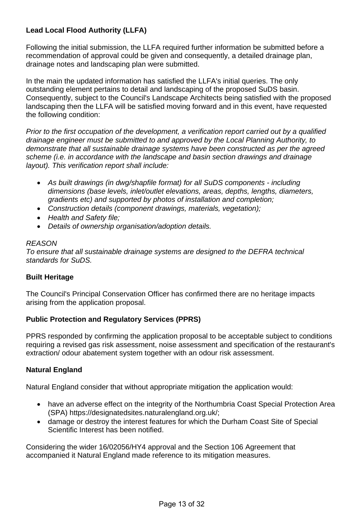# **Lead Local Flood Authority (LLFA)**

Following the initial submission, the LLFA required further information be submitted before a recommendation of approval could be given and consequently, a detailed drainage plan, drainage notes and landscaping plan were submitted.

In the main the updated information has satisfied the LLFA's initial queries. The only outstanding element pertains to detail and landscaping of the proposed SuDS basin. Consequently, subject to the Council's Landscape Architects being satisfied with the proposed landscaping then the LLFA will be satisfied moving forward and in this event, have requested the following condition:

*Prior to the first occupation of the development, a verification report carried out by a qualified drainage engineer must be submitted to and approved by the Local Planning Authority, to demonstrate that all sustainable drainage systems have been constructed as per the agreed scheme (i.e. in accordance with the landscape and basin section drawings and drainage layout). This verification report shall include:* 

- *As built drawings (in dwg/shapfile format) for all SuDS components including dimensions (base levels, inlet/outlet elevations, areas, depths, lengths, diameters, gradients etc) and supported by photos of installation and completion;*
- *Construction details (component drawings, materials, vegetation);*
- *Health and Safety file;*
- *Details of ownership organisation/adoption details.*

#### *REASON*

*To ensure that all sustainable drainage systems are designed to the DEFRA technical standards for SuDS.* 

#### **Built Heritage**

The Council's Principal Conservation Officer has confirmed there are no heritage impacts arising from the application proposal.

#### **Public Protection and Regulatory Services (PPRS)**

PPRS responded by confirming the application proposal to be acceptable subject to conditions requiring a revised gas risk assessment, noise assessment and specification of the restaurant's extraction/ odour abatement system together with an odour risk assessment.

#### **Natural England**

Natural England consider that without appropriate mitigation the application would:

- have an adverse effect on the integrity of the Northumbria Coast Special Protection Area (SPA) https://designatedsites.naturalengland.org.uk/;
- damage or destroy the interest features for which the Durham Coast Site of Special Scientific Interest has been notified.

Considering the wider 16/02056/HY4 approval and the Section 106 Agreement that accompanied it Natural England made reference to its mitigation measures.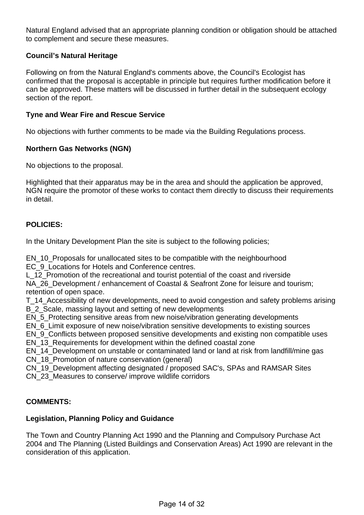Natural England advised that an appropriate planning condition or obligation should be attached to complement and secure these measures.

## **Council's Natural Heritage**

Following on from the Natural England's comments above, the Council's Ecologist has confirmed that the proposal is acceptable in principle but requires further modification before it can be approved. These matters will be discussed in further detail in the subsequent ecology section of the report.

#### **Tyne and Wear Fire and Rescue Service**

No objections with further comments to be made via the Building Regulations process.

#### **Northern Gas Networks (NGN)**

No objections to the proposal.

Highlighted that their apparatus may be in the area and should the application be approved, NGN require the promotor of these works to contact them directly to discuss their requirements in detail.

#### **POLICIES:**

In the Unitary Development Plan the site is subject to the following policies;

EN\_10\_Proposals for unallocated sites to be compatible with the neighbourhood EC 9 Locations for Hotels and Conference centres.

L\_12\_Promotion of the recreational and tourist potential of the coast and riverside NA\_26\_Development / enhancement of Coastal & Seafront Zone for leisure and tourism; retention of open space.

T\_14\_Accessibility of new developments, need to avoid congestion and safety problems arising B 2 Scale, massing layout and setting of new developments

EN 5 Protecting sensitive areas from new noise/vibration generating developments

EN\_6\_Limit exposure of new noise/vibration sensitive developments to existing sources

EN\_9\_Conflicts between proposed sensitive developments and existing non compatible uses EN 13 Requirements for development within the defined coastal zone

EN\_14\_Development on unstable or contaminated land or land at risk from landfill/mine gas CN 18 Promotion of nature conservation (general)

CN\_19\_Development affecting designated / proposed SAC's, SPAs and RAMSAR Sites

CN\_23\_Measures to conserve/ improve wildlife corridors

#### **COMMENTS:**

#### **Legislation, Planning Policy and Guidance**

The Town and Country Planning Act 1990 and the Planning and Compulsory Purchase Act 2004 and The Planning (Listed Buildings and Conservation Areas) Act 1990 are relevant in the consideration of this application.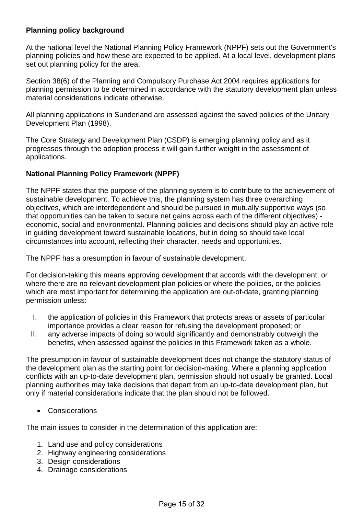# **Planning policy background**

At the national level the National Planning Policy Framework (NPPF) sets out the Government's planning policies and how these are expected to be applied. At a local level, development plans set out planning policy for the area.

Section 38(6) of the Planning and Compulsory Purchase Act 2004 requires applications for planning permission to be determined in accordance with the statutory development plan unless material considerations indicate otherwise.

All planning applications in Sunderland are assessed against the saved policies of the Unitary Development Plan (1998).

The Core Strategy and Development Plan (CSDP) is emerging planning policy and as it progresses through the adoption process it will gain further weight in the assessment of applications.

# **National Planning Policy Framework (NPPF)**

The NPPF states that the purpose of the planning system is to contribute to the achievement of sustainable development. To achieve this, the planning system has three overarching objectives, which are interdependent and should be pursued in mutually supportive ways (so that opportunities can be taken to secure net gains across each of the different objectives) economic, social and environmental. Planning policies and decisions should play an active role in guiding development toward sustainable locations, but in doing so should take local circumstances into account, reflecting their character, needs and opportunities.

The NPPF has a presumption in favour of sustainable development.

For decision-taking this means approving development that accords with the development, or where there are no relevant development plan policies or where the policies, or the policies which are most important for determining the application are out-of-date, granting planning permission unless:

- I. the application of policies in this Framework that protects areas or assets of particular importance provides a clear reason for refusing the development proposed; or
- II. any adverse impacts of doing so would significantly and demonstrably outweigh the benefits, when assessed against the policies in this Framework taken as a whole.

The presumption in favour of sustainable development does not change the statutory status of the development plan as the starting point for decision-making. Where a planning application conflicts with an up-to-date development plan, permission should not usually be granted. Local planning authorities may take decisions that depart from an up-to-date development plan, but only if material considerations indicate that the plan should not be followed.

Considerations

The main issues to consider in the determination of this application are:

- 1. Land use and policy considerations
- 2. Highway engineering considerations
- 3. Design considerations
- 4. Drainage considerations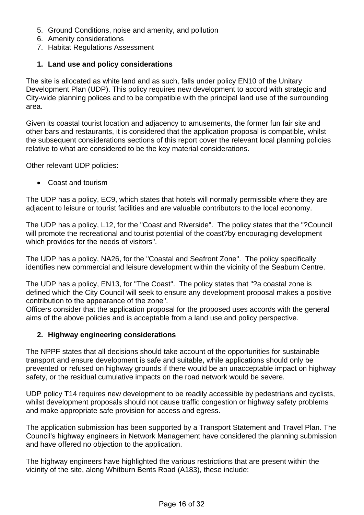- 5. Ground Conditions, noise and amenity, and pollution
- 6. Amenity considerations
- 7. Habitat Regulations Assessment

## **1. Land use and policy considerations**

The site is allocated as white land and as such, falls under policy EN10 of the Unitary Development Plan (UDP). This policy requires new development to accord with strategic and City-wide planning polices and to be compatible with the principal land use of the surrounding area.

Given its coastal tourist location and adjacency to amusements, the former fun fair site and other bars and restaurants, it is considered that the application proposal is compatible, whilst the subsequent considerations sections of this report cover the relevant local planning policies relative to what are considered to be the key material considerations.

Other relevant UDP policies:

Coast and tourism

The UDP has a policy, EC9, which states that hotels will normally permissible where they are adjacent to leisure or tourist facilities and are valuable contributors to the local economy.

The UDP has a policy, L12, for the "Coast and Riverside". The policy states that the "?Council will promote the recreational and tourist potential of the coast?by encouraging development which provides for the needs of visitors".

The UDP has a policy, NA26, for the "Coastal and Seafront Zone". The policy specifically identifies new commercial and leisure development within the vicinity of the Seaburn Centre.

The UDP has a policy, EN13, for "The Coast". The policy states that "?a coastal zone is defined which the City Council will seek to ensure any development proposal makes a positive contribution to the appearance of the zone".

Officers consider that the application proposal for the proposed uses accords with the general aims of the above policies and is acceptable from a land use and policy perspective.

#### **2. Highway engineering considerations**

The NPPF states that all decisions should take account of the opportunities for sustainable transport and ensure development is safe and suitable, while applications should only be prevented or refused on highway grounds if there would be an unacceptable impact on highway safety, or the residual cumulative impacts on the road network would be severe.

UDP policy T14 requires new development to be readily accessible by pedestrians and cyclists, whilst development proposals should not cause traffic congestion or highway safety problems and make appropriate safe provision for access and egress.

The application submission has been supported by a Transport Statement and Travel Plan. The Council's highway engineers in Network Management have considered the planning submission and have offered no objection to the application.

The highway engineers have highlighted the various restrictions that are present within the vicinity of the site, along Whitburn Bents Road (A183), these include: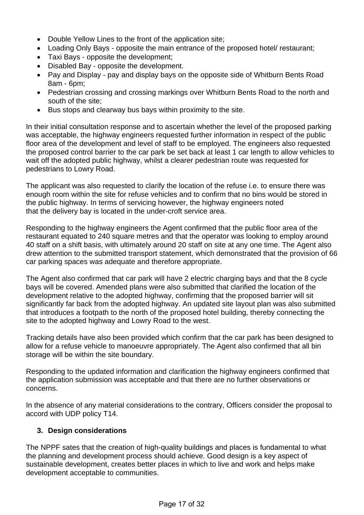- Double Yellow Lines to the front of the application site;
- Loading Only Bays opposite the main entrance of the proposed hotel/ restaurant;
- Taxi Bays opposite the development;
- Disabled Bay opposite the development.
- Pay and Display pay and display bays on the opposite side of Whitburn Bents Road 8am - 6pm;
- Pedestrian crossing and crossing markings over Whitburn Bents Road to the north and south of the site;
- Bus stops and clearway bus bays within proximity to the site.

In their initial consultation response and to ascertain whether the level of the proposed parking was acceptable, the highway engineers requested further information in respect of the public floor area of the development and level of staff to be employed. The engineers also requested the proposed control barrier to the car park be set back at least 1 car length to allow vehicles to wait off the adopted public highway, whilst a clearer pedestrian route was requested for pedestrians to Lowry Road.

The applicant was also requested to clarify the location of the refuse i.e. to ensure there was enough room within the site for refuse vehicles and to confirm that no bins would be stored in the public highway. In terms of servicing however, the highway engineers noted that the delivery bay is located in the under-croft service area.

Responding to the highway engineers the Agent confirmed that the public floor area of the restaurant equated to 240 square metres and that the operator was looking to employ around 40 staff on a shift basis, with ultimately around 20 staff on site at any one time. The Agent also drew attention to the submitted transport statement, which demonstrated that the provision of 66 car parking spaces was adequate and therefore appropriate.

The Agent also confirmed that car park will have 2 electric charging bays and that the 8 cycle bays will be covered. Amended plans were also submitted that clarified the location of the development relative to the adopted highway, confirming that the proposed barrier will sit significantly far back from the adopted highway. An updated site layout plan was also submitted that introduces a footpath to the north of the proposed hotel building, thereby connecting the site to the adopted highway and Lowry Road to the west.

Tracking details have also been provided which confirm that the car park has been designed to allow for a refuse vehicle to manoeuvre appropriately. The Agent also confirmed that all bin storage will be within the site boundary.

Responding to the updated information and clarification the highway engineers confirmed that the application submission was acceptable and that there are no further observations or concerns.

In the absence of any material considerations to the contrary, Officers consider the proposal to accord with UDP policy T14.

# **3. Design considerations**

The NPPF sates that the creation of high-quality buildings and places is fundamental to what the planning and development process should achieve. Good design is a key aspect of sustainable development, creates better places in which to live and work and helps make development acceptable to communities.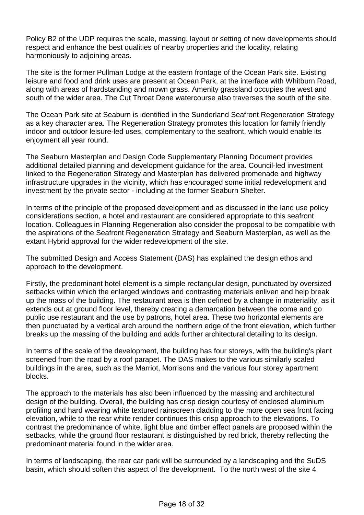Policy B2 of the UDP requires the scale, massing, layout or setting of new developments should respect and enhance the best qualities of nearby properties and the locality, relating harmoniously to adjoining areas.

The site is the former Pullman Lodge at the eastern frontage of the Ocean Park site. Existing leisure and food and drink uses are present at Ocean Park, at the interface with Whitburn Road, along with areas of hardstanding and mown grass. Amenity grassland occupies the west and south of the wider area. The Cut Throat Dene watercourse also traverses the south of the site.

The Ocean Park site at Seaburn is identified in the Sunderland Seafront Regeneration Strategy as a key character area. The Regeneration Strategy promotes this location for family friendly indoor and outdoor leisure-led uses, complementary to the seafront, which would enable its enjoyment all year round.

The Seaburn Masterplan and Design Code Supplementary Planning Document provides additional detailed planning and development guidance for the area. Council-led investment linked to the Regeneration Strategy and Masterplan has delivered promenade and highway infrastructure upgrades in the vicinity, which has encouraged some initial redevelopment and investment by the private sector - including at the former Seaburn Shelter.

In terms of the principle of the proposed development and as discussed in the land use policy considerations section, a hotel and restaurant are considered appropriate to this seafront location. Colleagues in Planning Regeneration also consider the proposal to be compatible with the aspirations of the Seafront Regeneration Strategy and Seaburn Masterplan, as well as the extant Hybrid approval for the wider redevelopment of the site.

The submitted Design and Access Statement (DAS) has explained the design ethos and approach to the development.

Firstly, the predominant hotel element is a simple rectangular design, punctuated by oversized setbacks within which the enlarged windows and contrasting materials enliven and help break up the mass of the building. The restaurant area is then defined by a change in materiality, as it extends out at ground floor level, thereby creating a demarcation between the come and go public use restaurant and the use by patrons, hotel area. These two horizontal elements are then punctuated by a vertical arch around the northern edge of the front elevation, which further breaks up the massing of the building and adds further architectural detailing to its design.

In terms of the scale of the development, the building has four storeys, with the building's plant screened from the road by a roof parapet. The DAS makes to the various similarly scaled buildings in the area, such as the Marriot, Morrisons and the various four storey apartment blocks.

The approach to the materials has also been influenced by the massing and architectural design of the building. Overall, the building has crisp design courtesy of enclosed aluminium profiling and hard wearing white textured rainscreen cladding to the more open sea front facing elevation, while to the rear white render continues this crisp approach to the elevations. To contrast the predominance of white, light blue and timber effect panels are proposed within the setbacks, while the ground floor restaurant is distinguished by red brick, thereby reflecting the predominant material found in the wider area.

In terms of landscaping, the rear car park will be surrounded by a landscaping and the SuDS basin, which should soften this aspect of the development. To the north west of the site 4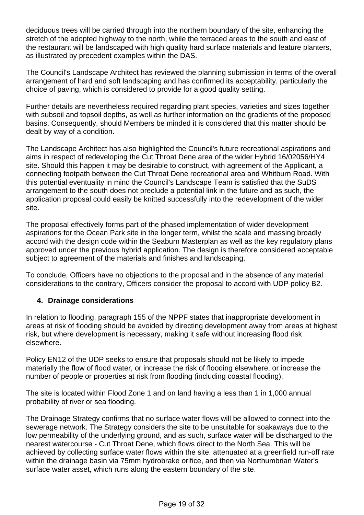deciduous trees will be carried through into the northern boundary of the site, enhancing the stretch of the adopted highway to the north, while the terraced areas to the south and east of the restaurant will be landscaped with high quality hard surface materials and feature planters, as illustrated by precedent examples within the DAS.

The Council's Landscape Architect has reviewed the planning submission in terms of the overall arrangement of hard and soft landscaping and has confirmed its acceptability, particularly the choice of paving, which is considered to provide for a good quality setting.

Further details are nevertheless required regarding plant species, varieties and sizes together with subsoil and topsoil depths, as well as further information on the gradients of the proposed basins. Consequently, should Members be minded it is considered that this matter should be dealt by way of a condition.

The Landscape Architect has also highlighted the Council's future recreational aspirations and aims in respect of redeveloping the Cut Throat Dene area of the wider Hybrid 16/02056/HY4 site. Should this happen it may be desirable to construct, with agreement of the Applicant, a connecting footpath between the Cut Throat Dene recreational area and Whitburn Road. With this potential eventuality in mind the Council's Landscape Team is satisfied that the SuDS arrangement to the south does not preclude a potential link in the future and as such, the application proposal could easily be knitted successfully into the redevelopment of the wider site.

The proposal effectively forms part of the phased implementation of wider development aspirations for the Ocean Park site in the longer term, whilst the scale and massing broadly accord with the design code within the Seaburn Masterplan as well as the key regulatory plans approved under the previous hybrid application. The design is therefore considered acceptable subject to agreement of the materials and finishes and landscaping.

To conclude, Officers have no objections to the proposal and in the absence of any material considerations to the contrary, Officers consider the proposal to accord with UDP policy B2.

# **4. Drainage considerations**

In relation to flooding, paragraph 155 of the NPPF states that inappropriate development in areas at risk of flooding should be avoided by directing development away from areas at highest risk, but where development is necessary, making it safe without increasing flood risk elsewhere.

Policy EN12 of the UDP seeks to ensure that proposals should not be likely to impede materially the flow of flood water, or increase the risk of flooding elsewhere, or increase the number of people or properties at risk from flooding (including coastal flooding).

The site is located within Flood Zone 1 and on land having a less than 1 in 1,000 annual probability of river or sea flooding.

The Drainage Strategy confirms that no surface water flows will be allowed to connect into the sewerage network. The Strategy considers the site to be unsuitable for soakaways due to the low permeability of the underlying ground, and as such, surface water will be discharged to the nearest watercourse - Cut Throat Dene, which flows direct to the North Sea. This will be achieved by collecting surface water flows within the site, attenuated at a greenfield run-off rate within the drainage basin via 75mm hydrobrake orifice, and then via Northumbrian Water's surface water asset, which runs along the eastern boundary of the site.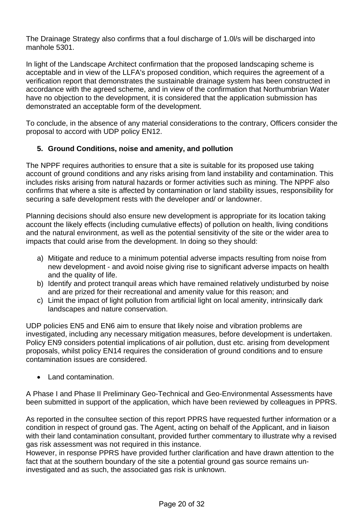The Drainage Strategy also confirms that a foul discharge of 1.0l/s will be discharged into manhole 5301.

In light of the Landscape Architect confirmation that the proposed landscaping scheme is acceptable and in view of the LLFA's proposed condition, which requires the agreement of a verification report that demonstrates the sustainable drainage system has been constructed in accordance with the agreed scheme, and in view of the confirmation that Northumbrian Water have no objection to the development, it is considered that the application submission has demonstrated an acceptable form of the development.

To conclude, in the absence of any material considerations to the contrary, Officers consider the proposal to accord with UDP policy EN12.

# **5. Ground Conditions, noise and amenity, and pollution**

The NPPF requires authorities to ensure that a site is suitable for its proposed use taking account of ground conditions and any risks arising from land instability and contamination. This includes risks arising from natural hazards or former activities such as mining. The NPPF also confirms that where a site is affected by contamination or land stability issues, responsibility for securing a safe development rests with the developer and/ or landowner.

Planning decisions should also ensure new development is appropriate for its location taking account the likely effects (including cumulative effects) of pollution on health, living conditions and the natural environment, as well as the potential sensitivity of the site or the wider area to impacts that could arise from the development. In doing so they should:

- a) Mitigate and reduce to a minimum potential adverse impacts resulting from noise from new development - and avoid noise giving rise to significant adverse impacts on health and the quality of life.
- b) Identify and protect tranquil areas which have remained relatively undisturbed by noise and are prized for their recreational and amenity value for this reason; and
- c) Limit the impact of light pollution from artificial light on local amenity, intrinsically dark landscapes and nature conservation.

UDP policies EN5 and EN6 aim to ensure that likely noise and vibration problems are investigated, including any necessary mitigation measures, before development is undertaken. Policy EN9 considers potential implications of air pollution, dust etc. arising from development proposals, whilst policy EN14 requires the consideration of ground conditions and to ensure contamination issues are considered.

• Land contamination.

A Phase I and Phase II Preliminary Geo-Technical and Geo-Environmental Assessments have been submitted in support of the application, which have been reviewed by colleagues in PPRS.

As reported in the consultee section of this report PPRS have requested further information or a condition in respect of ground gas. The Agent, acting on behalf of the Applicant, and in liaison with their land contamination consultant, provided further commentary to illustrate why a revised gas risk assessment was not required in this instance.

However, in response PPRS have provided further clarification and have drawn attention to the fact that at the southern boundary of the site a potential ground gas source remains uninvestigated and as such, the associated gas risk is unknown.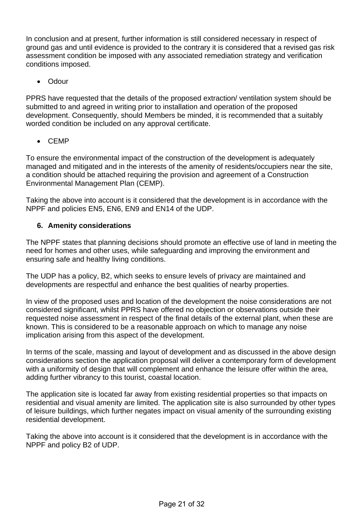In conclusion and at present, further information is still considered necessary in respect of ground gas and until evidence is provided to the contrary it is considered that a revised gas risk assessment condition be imposed with any associated remediation strategy and verification conditions imposed.

Odour

PPRS have requested that the details of the proposed extraction/ ventilation system should be submitted to and agreed in writing prior to installation and operation of the proposed development. Consequently, should Members be minded, it is recommended that a suitably worded condition be included on any approval certificate.

CEMP

To ensure the environmental impact of the construction of the development is adequately managed and mitigated and in the interests of the amenity of residents/occupiers near the site, a condition should be attached requiring the provision and agreement of a Construction Environmental Management Plan (CEMP).

Taking the above into account is it considered that the development is in accordance with the NPPF and policies EN5, EN6, EN9 and EN14 of the UDP.

# **6. Amenity considerations**

The NPPF states that planning decisions should promote an effective use of land in meeting the need for homes and other uses, while safeguarding and improving the environment and ensuring safe and healthy living conditions.

The UDP has a policy, B2, which seeks to ensure levels of privacy are maintained and developments are respectful and enhance the best qualities of nearby properties.

In view of the proposed uses and location of the development the noise considerations are not considered significant, whilst PPRS have offered no objection or observations outside their requested noise assessment in respect of the final details of the external plant, when these are known. This is considered to be a reasonable approach on which to manage any noise implication arising from this aspect of the development.

In terms of the scale, massing and layout of development and as discussed in the above design considerations section the application proposal will deliver a contemporary form of development with a uniformity of design that will complement and enhance the leisure offer within the area, adding further vibrancy to this tourist, coastal location.

The application site is located far away from existing residential properties so that impacts on residential and visual amenity are limited. The application site is also surrounded by other types of leisure buildings, which further negates impact on visual amenity of the surrounding existing residential development.

Taking the above into account is it considered that the development is in accordance with the NPPF and policy B2 of UDP.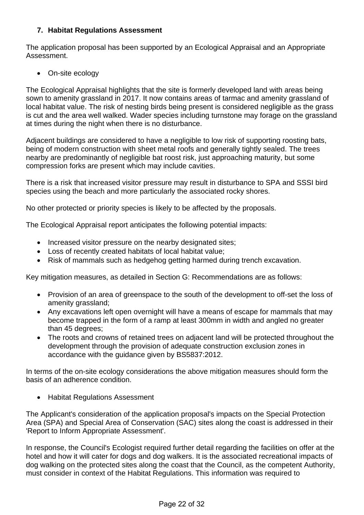# **7. Habitat Regulations Assessment**

The application proposal has been supported by an Ecological Appraisal and an Appropriate Assessment.

On-site ecology

The Ecological Appraisal highlights that the site is formerly developed land with areas being sown to amenity grassland in 2017. It now contains areas of tarmac and amenity grassland of local habitat value. The risk of nesting birds being present is considered negligible as the grass is cut and the area well walked. Wader species including turnstone may forage on the grassland at times during the night when there is no disturbance.

Adjacent buildings are considered to have a negligible to low risk of supporting roosting bats, being of modern construction with sheet metal roofs and generally tightly sealed. The trees nearby are predominantly of negligible bat roost risk, just approaching maturity, but some compression forks are present which may include cavities.

There is a risk that increased visitor pressure may result in disturbance to SPA and SSSI bird species using the beach and more particularly the associated rocky shores.

No other protected or priority species is likely to be affected by the proposals.

The Ecological Appraisal report anticipates the following potential impacts:

- Increased visitor pressure on the nearby designated sites;
- Loss of recently created habitats of local habitat value;
- Risk of mammals such as hedgehog getting harmed during trench excavation.

Key mitigation measures, as detailed in Section G: Recommendations are as follows:

- Provision of an area of greenspace to the south of the development to off-set the loss of amenity grassland;
- Any excavations left open overnight will have a means of escape for mammals that may become trapped in the form of a ramp at least 300mm in width and angled no greater than 45 degrees;
- The roots and crowns of retained trees on adjacent land will be protected throughout the development through the provision of adequate construction exclusion zones in accordance with the guidance given by BS5837:2012.

In terms of the on-site ecology considerations the above mitigation measures should form the basis of an adherence condition.

• Habitat Regulations Assessment

The Applicant's consideration of the application proposal's impacts on the Special Protection Area (SPA) and Special Area of Conservation (SAC) sites along the coast is addressed in their 'Report to Inform Appropriate Assessment'.

In response, the Council's Ecologist required further detail regarding the facilities on offer at the hotel and how it will cater for dogs and dog walkers. It is the associated recreational impacts of dog walking on the protected sites along the coast that the Council, as the competent Authority, must consider in context of the Habitat Regulations. This information was required to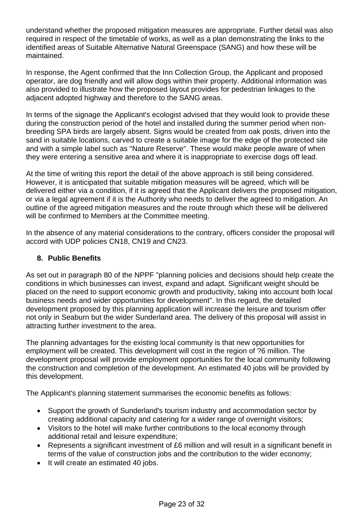understand whether the proposed mitigation measures are appropriate. Further detail was also required in respect of the timetable of works, as well as a plan demonstrating the links to the identified areas of Suitable Alternative Natural Greenspace (SANG) and how these will be maintained.

In response, the Agent confirmed that the Inn Collection Group, the Applicant and proposed operator, are dog friendly and will allow dogs within their property. Additional information was also provided to illustrate how the proposed layout provides for pedestrian linkages to the adjacent adopted highway and therefore to the SANG areas.

In terms of the signage the Applicant's ecologist advised that they would look to provide these during the construction period of the hotel and installed during the summer period when nonbreeding SPA birds are largely absent. Signs would be created from oak posts, driven into the sand in suitable locations, carved to create a suitable image for the edge of the protected site and with a simple label such as "Nature Reserve". These would make people aware of when they were entering a sensitive area and where it is inappropriate to exercise dogs off lead.

At the time of writing this report the detail of the above approach is still being considered. However, it is anticipated that suitable mitigation measures will be agreed, which will be delivered either via a condition, if it is agreed that the Applicant delivers the proposed mitigation, or via a legal agreement if it is the Authority who needs to deliver the agreed to mitigation. An outline of the agreed mitigation measures and the route through which these will be delivered will be confirmed to Members at the Committee meeting.

In the absence of any material considerations to the contrary, officers consider the proposal will accord with UDP policies CN18, CN19 and CN23.

# **8. Public Benefits**

As set out in paragraph 80 of the NPPF "planning policies and decisions should help create the conditions in which businesses can invest, expand and adapt. Significant weight should be placed on the need to support economic growth and productivity, taking into account both local business needs and wider opportunities for development". In this regard, the detailed development proposed by this planning application will increase the leisure and tourism offer not only in Seaburn but the wider Sunderland area. The delivery of this proposal will assist in attracting further investment to the area.

The planning advantages for the existing local community is that new opportunities for employment will be created. This development will cost in the region of ?6 million. The development proposal will provide employment opportunities for the local community following the construction and completion of the development. An estimated 40 jobs will be provided by this development.

The Applicant's planning statement summarises the economic benefits as follows:

- Support the growth of Sunderland's tourism industry and accommodation sector by creating additional capacity and catering for a wider range of overnight visitors;
- Visitors to the hotel will make further contributions to the local economy through additional retail and leisure expenditure;
- Represents a significant investment of £6 million and will result in a significant benefit in terms of the value of construction jobs and the contribution to the wider economy;
- It will create an estimated 40 jobs.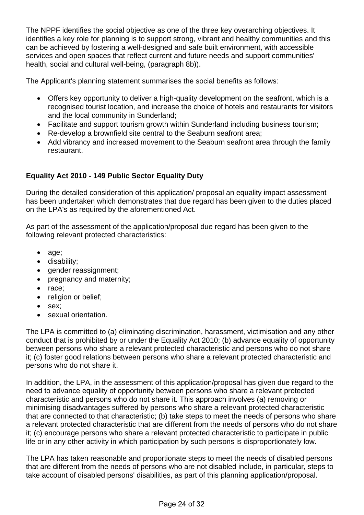The NPPF identifies the social objective as one of the three key overarching objectives. It identifies a key role for planning is to support strong, vibrant and healthy communities and this can be achieved by fostering a well-designed and safe built environment, with accessible services and open spaces that reflect current and future needs and support communities' health, social and cultural well-being, (paragraph 8b)).

The Applicant's planning statement summarises the social benefits as follows:

- Offers key opportunity to deliver a high-quality development on the seafront, which is a recognised tourist location, and increase the choice of hotels and restaurants for visitors and the local community in Sunderland;
- Facilitate and support tourism growth within Sunderland including business tourism:
- Re-develop a brownfield site central to the Seaburn seafront area;
- Add vibrancy and increased movement to the Seaburn seafront area through the family restaurant.

# **Equality Act 2010 - 149 Public Sector Equality Duty**

During the detailed consideration of this application/ proposal an equality impact assessment has been undertaken which demonstrates that due regard has been given to the duties placed on the LPA's as required by the aforementioned Act.

As part of the assessment of the application/proposal due regard has been given to the following relevant protected characteristics:

- age;
- disability;
- gender reassignment;
- pregnancy and maternity;
- race:
- religion or belief;
- sex:
- sexual orientation.

The LPA is committed to (a) eliminating discrimination, harassment, victimisation and any other conduct that is prohibited by or under the Equality Act 2010; (b) advance equality of opportunity between persons who share a relevant protected characteristic and persons who do not share it; (c) foster good relations between persons who share a relevant protected characteristic and persons who do not share it.

In addition, the LPA, in the assessment of this application/proposal has given due regard to the need to advance equality of opportunity between persons who share a relevant protected characteristic and persons who do not share it. This approach involves (a) removing or minimising disadvantages suffered by persons who share a relevant protected characteristic that are connected to that characteristic; (b) take steps to meet the needs of persons who share a relevant protected characteristic that are different from the needs of persons who do not share it; (c) encourage persons who share a relevant protected characteristic to participate in public life or in any other activity in which participation by such persons is disproportionately low.

The LPA has taken reasonable and proportionate steps to meet the needs of disabled persons that are different from the needs of persons who are not disabled include, in particular, steps to take account of disabled persons' disabilities, as part of this planning application/proposal.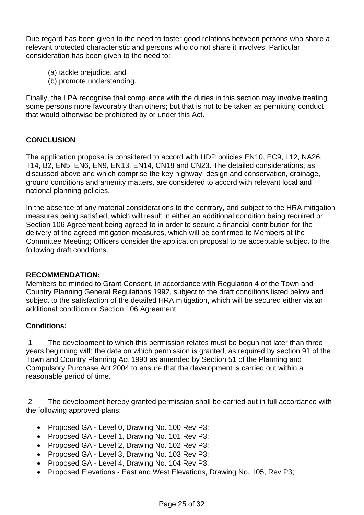Due regard has been given to the need to foster good relations between persons who share a relevant protected characteristic and persons who do not share it involves. Particular consideration has been given to the need to:

- (a) tackle prejudice, and
- (b) promote understanding.

Finally, the LPA recognise that compliance with the duties in this section may involve treating some persons more favourably than others; but that is not to be taken as permitting conduct that would otherwise be prohibited by or under this Act.

# **CONCLUSION**

The application proposal is considered to accord with UDP policies EN10, EC9, L12, NA26, T14, B2, EN5, EN6, EN9, EN13, EN14, CN18 and CN23. The detailed considerations, as discussed above and which comprise the key highway, design and conservation, drainage, ground conditions and amenity matters, are considered to accord with relevant local and national planning policies.

In the absence of any material considerations to the contrary, and subject to the HRA mitigation measures being satisfied, which will result in either an additional condition being required or Section 106 Agreement being agreed to in order to secure a financial contribution for the delivery of the agreed mitigation measures, which will be confirmed to Members at the Committee Meeting; Officers consider the application proposal to be acceptable subject to the following draft conditions.

#### **RECOMMENDATION:**

Members be minded to Grant Consent, in accordance with Regulation 4 of the Town and Country Planning General Regulations 1992, subject to the draft conditions listed below and subject to the satisfaction of the detailed HRA mitigation, which will be secured either via an additional condition or Section 106 Agreement.

#### **Conditions:**

 1 The development to which this permission relates must be begun not later than three years beginning with the date on which permission is granted, as required by section 91 of the Town and Country Planning Act 1990 as amended by Section 51 of the Planning and Compulsory Purchase Act 2004 to ensure that the development is carried out within a reasonable period of time.

 2 The development hereby granted permission shall be carried out in full accordance with the following approved plans:

- Proposed GA Level 0, Drawing No. 100 Rev P3;
- Proposed GA Level 1, Drawing No. 101 Rev P3;
- Proposed GA Level 2, Drawing No. 102 Rev P3;
- Proposed GA Level 3, Drawing No. 103 Rev P3;
- Proposed GA Level 4, Drawing No. 104 Rev P3;
- Proposed Elevations East and West Elevations, Drawing No. 105, Rev P3;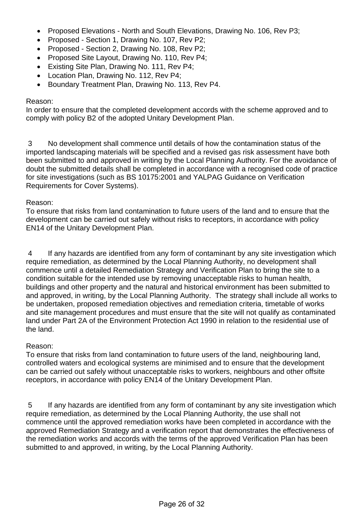- Proposed Elevations North and South Elevations, Drawing No. 106, Rev P3;
- Proposed Section 1, Drawing No. 107, Rev P2;
- Proposed Section 2, Drawing No. 108, Rev P2;
- Proposed Site Layout, Drawing No. 110, Rev P4;
- **Existing Site Plan, Drawing No. 111, Rev P4;**
- Location Plan, Drawing No. 112, Rev P4;
- Boundary Treatment Plan, Drawing No. 113, Rev P4.

#### Reason:

In order to ensure that the completed development accords with the scheme approved and to comply with policy B2 of the adopted Unitary Development Plan.

 3 No development shall commence until details of how the contamination status of the imported landscaping materials will be specified and a revised gas risk assessment have both been submitted to and approved in writing by the Local Planning Authority. For the avoidance of doubt the submitted details shall be completed in accordance with a recognised code of practice for site investigations (such as BS 10175:2001 and YALPAG Guidance on Verification Requirements for Cover Systems).

#### Reason:

To ensure that risks from land contamination to future users of the land and to ensure that the development can be carried out safely without risks to receptors, in accordance with policy EN14 of the Unitary Development Plan.

 4 If any hazards are identified from any form of contaminant by any site investigation which require remediation, as determined by the Local Planning Authority, no development shall commence until a detailed Remediation Strategy and Verification Plan to bring the site to a condition suitable for the intended use by removing unacceptable risks to human health, buildings and other property and the natural and historical environment has been submitted to and approved, in writing, by the Local Planning Authority. The strategy shall include all works to be undertaken, proposed remediation objectives and remediation criteria, timetable of works and site management procedures and must ensure that the site will not qualify as contaminated land under Part 2A of the Environment Protection Act 1990 in relation to the residential use of the land.

#### Reason:

To ensure that risks from land contamination to future users of the land, neighbouring land, controlled waters and ecological systems are minimised and to ensure that the development can be carried out safely without unacceptable risks to workers, neighbours and other offsite receptors, in accordance with policy EN14 of the Unitary Development Plan.

 5 If any hazards are identified from any form of contaminant by any site investigation which require remediation, as determined by the Local Planning Authority, the use shall not commence until the approved remediation works have been completed in accordance with the approved Remediation Strategy and a verification report that demonstrates the effectiveness of the remediation works and accords with the terms of the approved Verification Plan has been submitted to and approved, in writing, by the Local Planning Authority.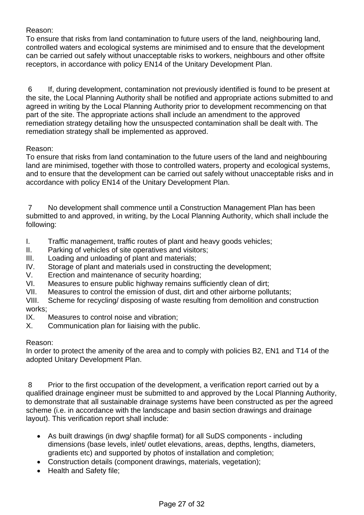Reason:

To ensure that risks from land contamination to future users of the land, neighbouring land, controlled waters and ecological systems are minimised and to ensure that the development can be carried out safely without unacceptable risks to workers, neighbours and other offsite receptors, in accordance with policy EN14 of the Unitary Development Plan.

 6 If, during development, contamination not previously identified is found to be present at the site, the Local Planning Authority shall be notified and appropriate actions submitted to and agreed in writing by the Local Planning Authority prior to development recommencing on that part of the site. The appropriate actions shall include an amendment to the approved remediation strategy detailing how the unsuspected contamination shall be dealt with. The remediation strategy shall be implemented as approved.

# Reason:

To ensure that risks from land contamination to the future users of the land and neighbouring land are minimised, together with those to controlled waters, property and ecological systems, and to ensure that the development can be carried out safely without unacceptable risks and in accordance with policy EN14 of the Unitary Development Plan.

 7 No development shall commence until a Construction Management Plan has been submitted to and approved, in writing, by the Local Planning Authority, which shall include the following:

- I. Traffic management, traffic routes of plant and heavy goods vehicles;
- II. Parking of vehicles of site operatives and visitors;
- III. Loading and unloading of plant and materials;
- IV. Storage of plant and materials used in constructing the development;
- V. Erection and maintenance of security hoarding;
- VI. Measures to ensure public highway remains sufficiently clean of dirt;
- VII. Measures to control the emission of dust, dirt and other airborne pollutants;

VIII. Scheme for recycling/ disposing of waste resulting from demolition and construction works;

- IX. Measures to control noise and vibration;
- X. Communication plan for liaising with the public.

# Reason:

In order to protect the amenity of the area and to comply with policies B2, EN1 and T14 of the adopted Unitary Development Plan.

 8 Prior to the first occupation of the development, a verification report carried out by a qualified drainage engineer must be submitted to and approved by the Local Planning Authority, to demonstrate that all sustainable drainage systems have been constructed as per the agreed scheme (i.e. in accordance with the landscape and basin section drawings and drainage layout). This verification report shall include:

- As built drawings (in dwg/ shapfile format) for all SuDS components including dimensions (base levels, inlet/ outlet elevations, areas, depths, lengths, diameters, gradients etc) and supported by photos of installation and completion;
- Construction details (component drawings, materials, vegetation);
- Health and Safety file;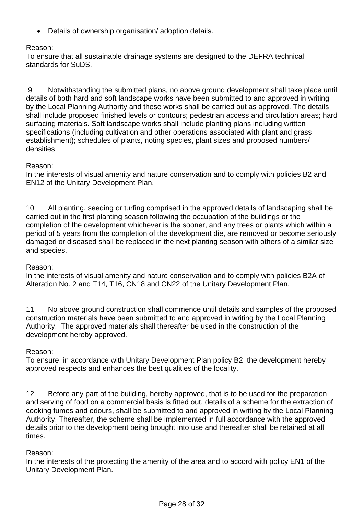Details of ownership organisation/ adoption details.

## Reason:

To ensure that all sustainable drainage systems are designed to the DEFRA technical standards for SuDS.

 9 Notwithstanding the submitted plans, no above ground development shall take place until details of both hard and soft landscape works have been submitted to and approved in writing by the Local Planning Authority and these works shall be carried out as approved. The details shall include proposed finished levels or contours; pedestrian access and circulation areas; hard surfacing materials. Soft landscape works shall include planting plans including written specifications (including cultivation and other operations associated with plant and grass establishment); schedules of plants, noting species, plant sizes and proposed numbers/ densities.

#### Reason:

In the interests of visual amenity and nature conservation and to comply with policies B2 and EN12 of the Unitary Development Plan.

10 All planting, seeding or turfing comprised in the approved details of landscaping shall be carried out in the first planting season following the occupation of the buildings or the completion of the development whichever is the sooner, and any trees or plants which within a period of 5 years from the completion of the development die, are removed or become seriously damaged or diseased shall be replaced in the next planting season with others of a similar size and species.

#### Reason:

In the interests of visual amenity and nature conservation and to comply with policies B2A of Alteration No. 2 and T14, T16, CN18 and CN22 of the Unitary Development Plan.

11 No above ground construction shall commence until details and samples of the proposed construction materials have been submitted to and approved in writing by the Local Planning Authority. The approved materials shall thereafter be used in the construction of the development hereby approved.

#### Reason:

To ensure, in accordance with Unitary Development Plan policy B2, the development hereby approved respects and enhances the best qualities of the locality.

12 Before any part of the building, hereby approved, that is to be used for the preparation and serving of food on a commercial basis is fitted out, details of a scheme for the extraction of cooking fumes and odours, shall be submitted to and approved in writing by the Local Planning Authority. Thereafter, the scheme shall be implemented in full accordance with the approved details prior to the development being brought into use and thereafter shall be retained at all times.

#### Reason:

In the interests of the protecting the amenity of the area and to accord with policy EN1 of the Unitary Development Plan.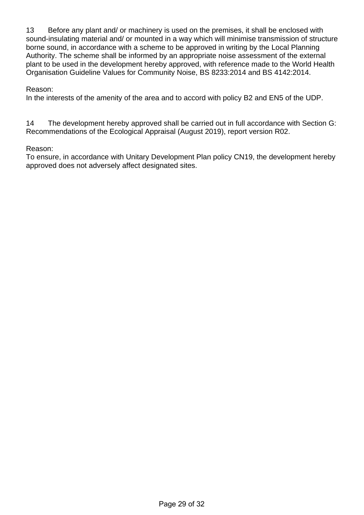13 Before any plant and/ or machinery is used on the premises, it shall be enclosed with sound-insulating material and/ or mounted in a way which will minimise transmission of structure borne sound, in accordance with a scheme to be approved in writing by the Local Planning Authority. The scheme shall be informed by an appropriate noise assessment of the external plant to be used in the development hereby approved, with reference made to the World Health Organisation Guideline Values for Community Noise, BS 8233:2014 and BS 4142:2014.

#### Reason:

In the interests of the amenity of the area and to accord with policy B2 and EN5 of the UDP.

14 The development hereby approved shall be carried out in full accordance with Section G: Recommendations of the Ecological Appraisal (August 2019), report version R02.

## Reason:

To ensure, in accordance with Unitary Development Plan policy CN19, the development hereby approved does not adversely affect designated sites.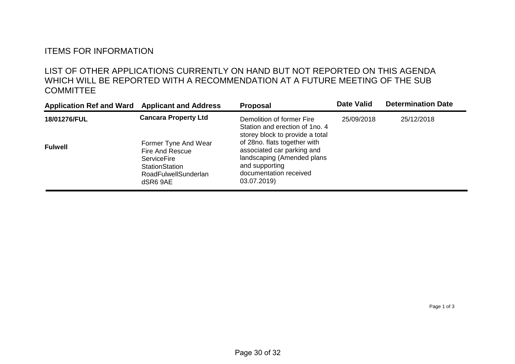# ITEMS FOR INFORMATION

# LIST OF OTHER APPLICATIONS CURRENTLY ON HAND BUT NOT REPORTED ON THIS AGENDA WHICH WILL BE REPORTED WITH A RECOMMENDATION AT A FUTURE MEETING OF THE SUB **COMMITTEE**

| <b>Application Ref and Ward</b> | <b>Applicant and Address</b>                                                                                                      | <b>Proposal</b>                                                                                                                                     | <b>Date Valid</b> | <b>Determination Date</b> |  |
|---------------------------------|-----------------------------------------------------------------------------------------------------------------------------------|-----------------------------------------------------------------------------------------------------------------------------------------------------|-------------------|---------------------------|--|
| 18/01276/FUL                    | <b>Cancara Property Ltd</b>                                                                                                       | Demolition of former Fire<br>Station and erection of 1no. 4<br>storey block to provide a total                                                      | 25/09/2018        | 25/12/2018                |  |
| <b>Fulwell</b>                  | Former Tyne And Wear<br><b>Fire And Rescue</b><br><b>ServiceFire</b><br>StationStation<br><b>RoadFulwellSunderlan</b><br>dSR6 9AE | of 28no. flats together with<br>associated car parking and<br>landscaping (Amended plans<br>and supporting<br>documentation received<br>03.07.2019) |                   |                           |  |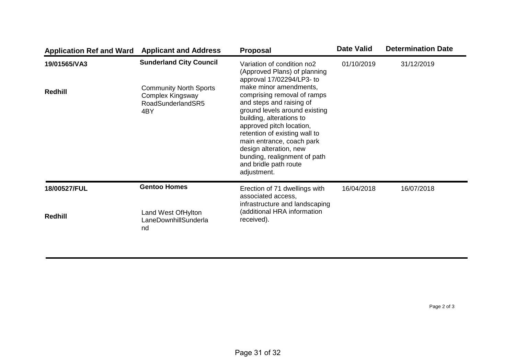| <b>Application Ref and Ward</b> | <b>Applicant and Address</b>                                                                                                                                                                                                                                                                                                                                                                                                                                                                                                                             | <b>Proposal</b>                                                             | <b>Date Valid</b> | <b>Determination Date</b> |
|---------------------------------|----------------------------------------------------------------------------------------------------------------------------------------------------------------------------------------------------------------------------------------------------------------------------------------------------------------------------------------------------------------------------------------------------------------------------------------------------------------------------------------------------------------------------------------------------------|-----------------------------------------------------------------------------|-------------------|---------------------------|
| 19/01565/VA3                    | <b>Sunderland City Council</b><br>Variation of condition no2<br>(Approved Plans) of planning<br>approval 17/02294/LP3- to<br>make minor amendments,<br><b>Community North Sports</b><br>comprising removal of ramps<br>Complex Kingsway<br>and steps and raising of<br>RoadSunderlandSR5<br>ground levels around existing<br>4BY<br>building, alterations to<br>approved pitch location,<br>retention of existing wall to<br>main entrance, coach park<br>design alteration, new<br>bunding, realignment of path<br>and bridle path route<br>adjustment. |                                                                             | 01/10/2019        | 31/12/2019                |
| <b>Redhill</b>                  |                                                                                                                                                                                                                                                                                                                                                                                                                                                                                                                                                          |                                                                             |                   |                           |
| 18/00527/FUL                    | <b>Gentoo Homes</b>                                                                                                                                                                                                                                                                                                                                                                                                                                                                                                                                      | Erection of 71 dwellings with<br>associated access,                         | 16/04/2018        | 16/07/2018                |
| Redhill                         | Land West Of Hylton<br>LaneDownhillSunderla<br>nd                                                                                                                                                                                                                                                                                                                                                                                                                                                                                                        | infrastructure and landscaping<br>(additional HRA information<br>received). |                   |                           |

Page 2 of 3